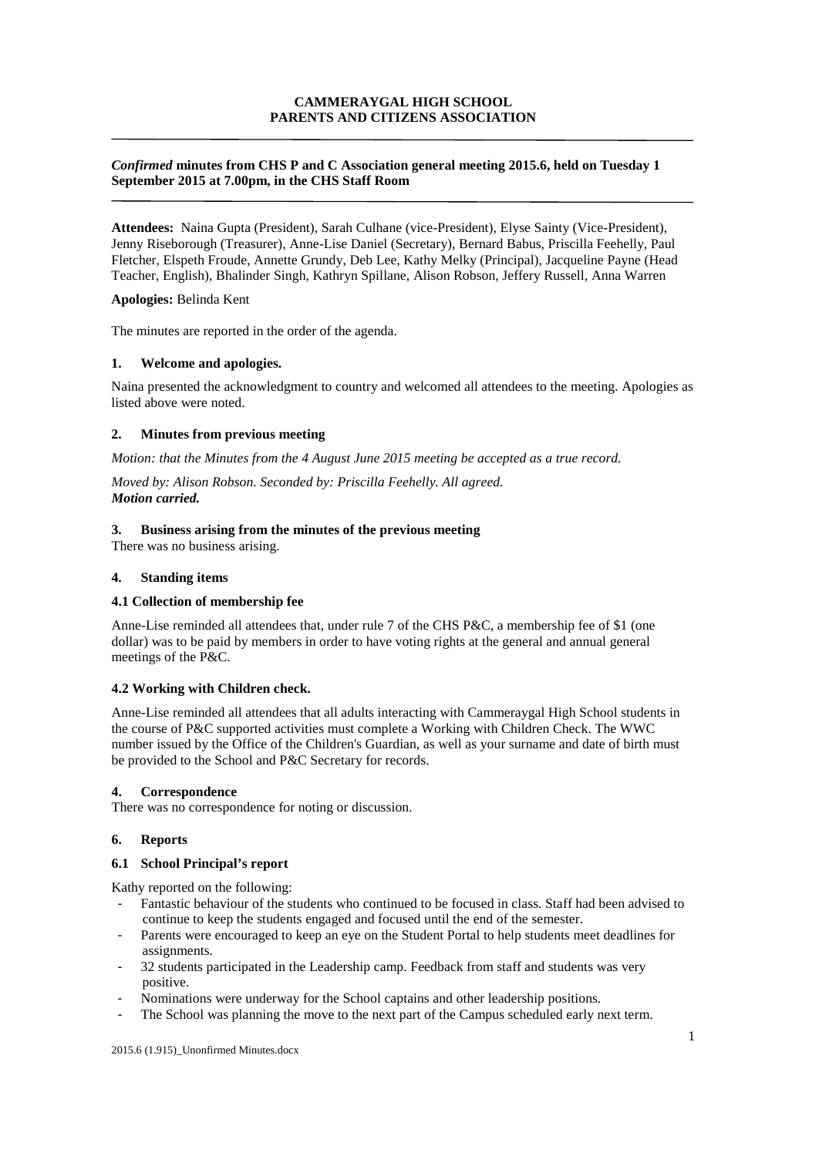# **CAMMERAYGAL HIGH SCHOOL PARENTS AND CITIZENS ASSOCIATION**

## *Confirmed* **minutes from CHS P and C Association general meeting 2015.6, held on Tuesday 1 September 2015 at 7.00pm, in the CHS Staff Room**

**Attendees:** Naina Gupta (President), Sarah Culhane (vice-President), Elyse Sainty (Vice-President), Jenny Riseborough (Treasurer), Anne-Lise Daniel (Secretary), Bernard Babus, Priscilla Feehelly, Paul Fletcher, Elspeth Froude, Annette Grundy, Deb Lee, Kathy Melky (Principal), Jacqueline Payne (Head Teacher, English), Bhalinder Singh, Kathryn Spillane, Alison Robson, Jeffery Russell, Anna Warren

#### **Apologies:** Belinda Kent

The minutes are reported in the order of the agenda.

## **1. Welcome and apologies.**

Naina presented the acknowledgment to country and welcomed all attendees to the meeting. Apologies as listed above were noted.

### **2. Minutes from previous meeting**

*Motion: that the Minutes from the 4 August June 2015 meeting be accepted as a true record.* 

*Moved by: Alison Robson. Seconded by: Priscilla Feehelly. All agreed. Motion carried.*

### **3. Business arising from the minutes of the previous meeting**

There was no business arising.

#### **4. Standing items**

#### **4.1 Collection of membership fee**

Anne-Lise reminded all attendees that, under rule 7 of the CHS P&C, a membership fee of \$1 (one dollar) was to be paid by members in order to have voting rights at the general and annual general meetings of the P&C.

## **4.2 Working with Children check.**

Anne-Lise reminded all attendees that all adults interacting with Cammeraygal High School students in the course of P&C supported activities must complete a Working with Children Check. The WWC number issued by the Office of the Children's Guardian, as well as your surname and date of birth must be provided to the School and P&C Secretary for records.

#### **4. Correspondence**

There was no correspondence for noting or discussion.

#### **6. Reports**

#### **6.1 School Principal's report**

Kathy reported on the following:

- Fantastic behaviour of the students who continued to be focused in class. Staff had been advised to continue to keep the students engaged and focused until the end of the semester.
- Parents were encouraged to keep an eye on the Student Portal to help students meet deadlines for assignments.
- 32 students participated in the Leadership camp. Feedback from staff and students was very positive.
- Nominations were underway for the School captains and other leadership positions.
- The School was planning the move to the next part of the Campus scheduled early next term.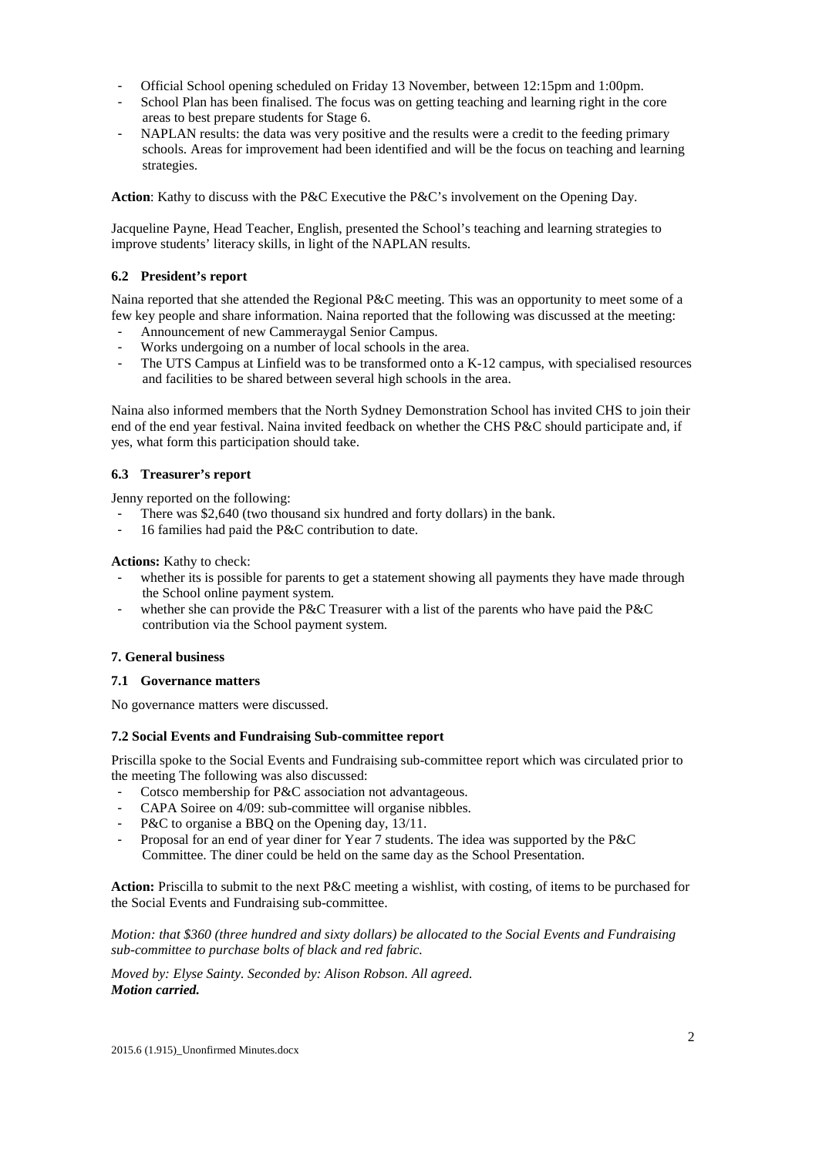- Official School opening scheduled on Friday 13 November, between 12:15pm and 1:00pm.
- School Plan has been finalised. The focus was on getting teaching and learning right in the core areas to best prepare students for Stage 6.
- NAPLAN results: the data was very positive and the results were a credit to the feeding primary schools. Areas for improvement had been identified and will be the focus on teaching and learning strategies.

**Action**: Kathy to discuss with the P&C Executive the P&C's involvement on the Opening Day.

Jacqueline Payne, Head Teacher, English, presented the School's teaching and learning strategies to improve students' literacy skills, in light of the NAPLAN results.

## **6.2 President's report**

Naina reported that she attended the Regional P&C meeting. This was an opportunity to meet some of a few key people and share information. Naina reported that the following was discussed at the meeting:

- Announcement of new Cammeraygal Senior Campus.
- Works undergoing on a number of local schools in the area.
- The UTS Campus at Linfield was to be transformed onto a K-12 campus, with specialised resources and facilities to be shared between several high schools in the area.

Naina also informed members that the North Sydney Demonstration School has invited CHS to join their end of the end year festival. Naina invited feedback on whether the CHS P&C should participate and, if yes, what form this participation should take.

## **6.3 Treasurer's report**

Jenny reported on the following:

- There was \$2,640 (two thousand six hundred and forty dollars) in the bank.
- 16 families had paid the P&C contribution to date.

**Actions:** Kathy to check:

- whether its is possible for parents to get a statement showing all payments they have made through the School online payment system.
- whether she can provide the P&C Treasurer with a list of the parents who have paid the P&C contribution via the School payment system.

# **7. General business**

## **7.1 Governance matters**

No governance matters were discussed.

## **7.2 Social Events and Fundraising Sub-committee report**

Priscilla spoke to the Social Events and Fundraising sub-committee report which was circulated prior to the meeting The following was also discussed:

- Cotsco membership for P&C association not advantageous.
- CAPA Soiree on 4/09: sub-committee will organise nibbles.
- P&C to organise a BBQ on the Opening day, 13/11.
- Proposal for an end of year diner for Year 7 students. The idea was supported by the P&C Committee. The diner could be held on the same day as the School Presentation.

**Action:** Priscilla to submit to the next P&C meeting a wishlist, with costing, of items to be purchased for the Social Events and Fundraising sub-committee.

*Motion: that \$360 (three hundred and sixty dollars) be allocated to the Social Events and Fundraising sub-committee to purchase bolts of black and red fabric.* 

*Moved by: Elyse Sainty. Seconded by: Alison Robson. All agreed. Motion carried.*